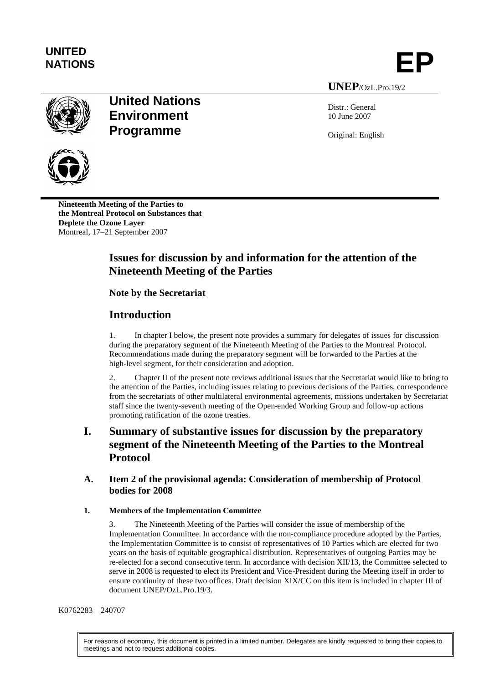

**UNEP**/OzL.Pro.19/2

Distr.: General 10 June 2007

Original: English



**Nineteenth Meeting of the Parties to the Montreal Protocol on Substances that Deplete the Ozone Layer** Montreal, 17–21 September 2007

# **Issues for discussion by and information for the attention of the Nineteenth Meeting of the Parties**

# **Note by the Secretariat**

**United Nations Environment** 

**Programme**

# **Introduction**

1. In chapter I below, the present note provides a summary for delegates of issues for discussion during the preparatory segment of the Nineteenth Meeting of the Parties to the Montreal Protocol. Recommendations made during the preparatory segment will be forwarded to the Parties at the high-level segment, for their consideration and adoption.

2. Chapter II of the present note reviews additional issues that the Secretariat would like to bring to the attention of the Parties, including issues relating to previous decisions of the Parties, correspondence from the secretariats of other multilateral environmental agreements, missions undertaken by Secretariat staff since the twenty-seventh meeting of the Open-ended Working Group and follow-up actions promoting ratification of the ozone treaties.

# **I. Summary of substantive issues for discussion by the preparatory segment of the Nineteenth Meeting of the Parties to the Montreal Protocol**

## **A. Item 2 of the provisional agenda: Consideration of membership of Protocol bodies for 2008**

### **1. Members of the Implementation Committee**

3. The Nineteenth Meeting of the Parties will consider the issue of membership of the Implementation Committee. In accordance with the non-compliance procedure adopted by the Parties, the Implementation Committee is to consist of representatives of 10 Parties which are elected for two years on the basis of equitable geographical distribution. Representatives of outgoing Parties may be re-elected for a second consecutive term. In accordance with decision XII/13, the Committee selected to serve in 2008 is requested to elect its President and Vice-President during the Meeting itself in order to ensure continuity of these two offices. Draft decision XIX/CC on this item is included in chapter III of document UNEP/OzL.Pro.19/3.

#### K0762283 240707

For reasons of economy, this document is printed in a limited number. Delegates are kindly requested to bring their copies to meetings and not to request additional copies.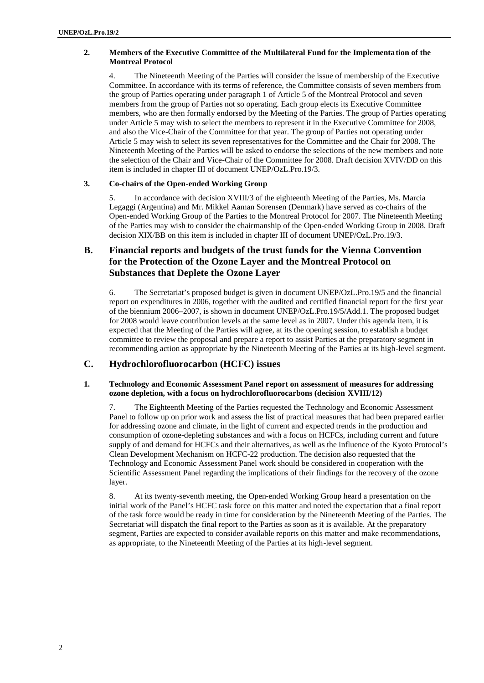#### **2. Members of the Executive Committee of the Multilateral Fund for the Implementation of the Montreal Protocol**

4. The Nineteenth Meeting of the Parties will consider the issue of membership of the Executive Committee. In accordance with its terms of reference, the Committee consists of seven members from the group of Parties operating under paragraph 1 of Article 5 of the Montreal Protocol and seven members from the group of Parties not so operating. Each group elects its Executive Committee members, who are then formally endorsed by the Meeting of the Parties. The group of Parties operating under Article 5 may wish to select the members to represent it in the Executive Committee for 2008, and also the Vice-Chair of the Committee for that year. The group of Parties not operating under Article 5 may wish to select its seven representatives for the Committee and the Chair for 2008. The Nineteenth Meeting of the Parties will be asked to endorse the selections of the new members and note the selection of the Chair and Vice-Chair of the Committee for 2008. Draft decision XVIV/DD on this item is included in chapter III of document UNEP/OzL.Pro.19/3.

#### **3. Co-chairs of the Open-ended Working Group**

5. In accordance with decision XVIII/3 of the eighteenth Meeting of the Parties, Ms. Marcia Legaggi (Argentina) and Mr. Mikkel Aaman Sorensen (Denmark) have served as co-chairs of the Open-ended Working Group of the Parties to the Montreal Protocol for 2007. The Nineteenth Meeting of the Parties may wish to consider the chairmanship of the Open-ended Working Group in 2008. Draft decision XIX/BB on this item is included in chapter III of document UNEP/OzL.Pro.19/3.

# **B. Financial reports and budgets of the trust funds for the Vienna Convention for the Protection of the Ozone Layer and the Montreal Protocol on Substances that Deplete the Ozone Layer**

6. The Secretariat's proposed budget is given in document UNEP/OzL.Pro.19/5 and the financial report on expenditures in 2006, together with the audited and certified financial report for the first year of the biennium 2006–2007, is shown in document UNEP/OzL.Pro.19/5/Add.1. The proposed budget for 2008 would leave contribution levels at the same level as in 2007. Under this agenda item, it is expected that the Meeting of the Parties will agree, at its the opening session, to establish a budget committee to review the proposal and prepare a report to assist Parties at the preparatory segment in recommending action as appropriate by the Nineteenth Meeting of the Parties at its high-level segment.

# **C. Hydrochlorofluorocarbon (HCFC) issues**

#### **1. Technology and Economic Assessment Panel report on assessment of measures for addressing ozone depletion, with a focus on hydrochlorofluorocarbons (decision XVIII/12)**

7. The Eighteenth Meeting of the Parties requested the Technology and Economic Assessment Panel to follow up on prior work and assess the list of practical measures that had been prepared earlier for addressing ozone and climate, in the light of current and expected trends in the production and consumption of ozone-depleting substances and with a focus on HCFCs, including current and future supply of and demand for HCFCs and their alternatives, as well as the influence of the Kyoto Protocol's Clean Development Mechanism on HCFC-22 production. The decision also requested that the Technology and Economic Assessment Panel work should be considered in cooperation with the Scientific Assessment Panel regarding the implications of their findings for the recovery of the ozone layer.

8. At its twenty-seventh meeting, the Open-ended Working Group heard a presentation on the initial work of the Panel's HCFC task force on this matter and noted the expectation that a final report of the task force would be ready in time for consideration by the Nineteenth Meeting of the Parties. The Secretariat will dispatch the final report to the Parties as soon as it is available. At the preparatory segment, Parties are expected to consider available reports on this matter and make recommendations, as appropriate, to the Nineteenth Meeting of the Parties at its high-level segment.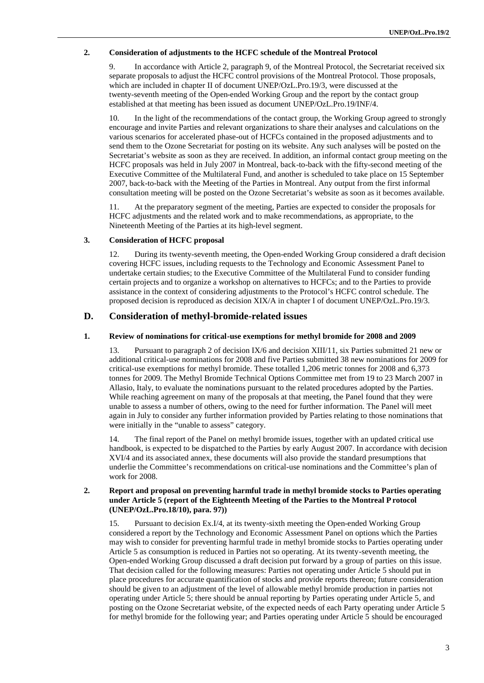#### **2. Consideration of adjustments to the HCFC schedule of the Montreal Protocol**

9. In accordance with Article 2, paragraph 9, of the Montreal Protocol, the Secretariat received six separate proposals to adjust the HCFC control provisions of the Montreal Protocol. Those proposals, which are included in chapter II of document UNEP/OzL.Pro.19/3, were discussed at the twenty-seventh meeting of the Open-ended Working Group and the report by the contact group established at that meeting has been issued as document UNEP/OzL.Pro.19/INF/4.

10. In the light of the recommendations of the contact group, the Working Group agreed to strongly encourage and invite Parties and relevant organizations to share their analyses and calculations on the various scenarios for accelerated phase-out of HCFCs contained in the proposed adjustments and to send them to the Ozone Secretariat for posting on its website. Any such analyses will be posted on the Secretariat's website as soon as they are received. In addition, an informal contact group meeting on the HCFC proposals was held in July 2007 in Montreal, back-to-back with the fifty-second meeting of the Executive Committee of the Multilateral Fund, and another is scheduled to take place on 15 September 2007, back-to-back with the Meeting of the Parties in Montreal. Any output from the first informal consultation meeting will be posted on the Ozone Secretariat's website as soon as it becomes available.

11. At the preparatory segment of the meeting, Parties are expected to consider the proposals for HCFC adjustments and the related work and to make recommendations, as appropriate, to the Nineteenth Meeting of the Parties at its high-level segment.

#### **3. Consideration of HCFC proposal**

12. During its twenty-seventh meeting, the Open-ended Working Group considered a draft decision covering HCFC issues, including requests to the Technology and Economic Assessment Panel to undertake certain studies; to the Executive Committee of the Multilateral Fund to consider funding certain projects and to organize a workshop on alternatives to HCFCs; and to the Parties to provide assistance in the context of considering adjustments to the Protocol's HCFC control schedule. The proposed decision is reproduced as decision XIX/A in chapter I of document UNEP/OzL.Pro.19/3.

#### **D. Consideration of methyl-bromide-related issues**

#### **1. Review of nominations for critical-use exemptions for methyl bromide for 2008 and 2009**

13. Pursuant to paragraph 2 of decision IX/6 and decision XIII/11, six Parties submitted 21 new or additional critical-use nominations for 2008 and five Parties submitted 38 new nominations for 2009 for critical-use exemptions for methyl bromide. These totalled 1,206 metric tonnes for 2008 and 6,373 tonnes for 2009. The Methyl Bromide Technical Options Committee met from 19 to 23 March 2007 in Allasio, Italy, to evaluate the nominations pursuant to the related procedures adopted by the Parties. While reaching agreement on many of the proposals at that meeting, the Panel found that they were unable to assess a number of others, owing to the need for further information. The Panel will meet again in July to consider any further information provided by Parties relating to those nominations that were initially in the "unable to assess" category.

14. The final report of the Panel on methyl bromide issues, together with an updated critical use handbook, is expected to be dispatched to the Parties by early August 2007. In accordance with decision XVI/4 and its associated annex, these documents will also provide the standard presumptions that underlie the Committee's recommendations on critical-use nominations and the Committee's plan of work for 2008.

#### **2. Report and proposal on preventing harmful trade in methyl bromide stocks to Parties operating under Article 5 (report of the Eighteenth Meeting of the Parties to the Montreal Protocol (UNEP/OzL.Pro.18/10), para. 97))**

15. Pursuant to decision Ex.I/4, at its twenty-sixth meeting the Open-ended Working Group considered a report by the Technology and Economic Assessment Panel on options which the Parties may wish to consider for preventing harmful trade in methyl bromide stocks to Parties operating under Article 5 as consumption is reduced in Parties not so operating. At its twenty-seventh meeting, the Open-ended Working Group discussed a draft decision put forward by a group of parties on this issue. That decision called for the following measures: Parties not operating under Article 5 should put in place procedures for accurate quantification of stocks and provide reports thereon; future consideration should be given to an adjustment of the level of allowable methyl bromide production in parties not operating under Article 5; there should be annual reporting by Parties operating under Article 5, and posting on the Ozone Secretariat website, of the expected needs of each Party operating under Article 5 for methyl bromide for the following year; and Parties operating under Article 5 should be encouraged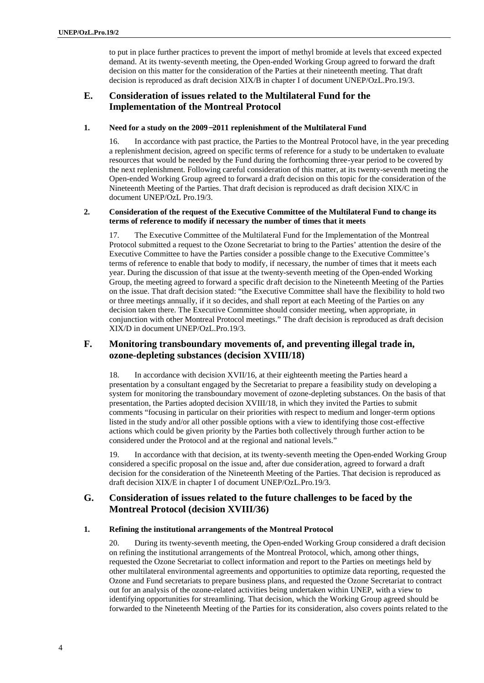to put in place further practices to prevent the import of methyl bromide at levels that exceed expected demand. At its twenty-seventh meeting, the Open-ended Working Group agreed to forward the draft decision on this matter for the consideration of the Parties at their nineteenth meeting. That draft decision is reproduced as draft decision XIX/B in chapter I of document UNEP/OzL.Pro.19/3.

## **E. Consideration of issues related to the Multilateral Fund for the Implementation of the Montreal Protocol**

#### **1. Need for a study on the 2009-2011 replenishment of the Multilateral Fund**

16. In accordance with past practice, the Parties to the Montreal Protocol have, in the year preceding a replenishment decision, agreed on specific terms of reference for a study to be undertaken to evaluate resources that would be needed by the Fund during the forthcoming three-year period to be covered by the next replenishment. Following careful consideration of this matter, at its twenty-seventh meeting the Open-ended Working Group agreed to forward a draft decision on this topic for the consideration of the Nineteenth Meeting of the Parties. That draft decision is reproduced as draft decision XIX/C in document UNEP/OzL Pro.19/3.

#### **2. Consideration of the request of the Executive Committee of the Multilateral Fund to change its terms of reference to modify if necessary the number of times that it meets**

17. The Executive Committee of the Multilateral Fund for the Implementation of the Montreal Protocol submitted a request to the Ozone Secretariat to bring to the Parties' attention the desire of the Executive Committee to have the Parties consider a possible change to the Executive Committee's terms of reference to enable that body to modify, if necessary, the number of times that it meets each year. During the discussion of that issue at the twenty-seventh meeting of the Open-ended Working Group, the meeting agreed to forward a specific draft decision to the Nineteenth Meeting of the Parties on the issue. That draft decision stated: "the Executive Committee shall have the flexibility to hold two or three meetings annually, if it so decides, and shall report at each Meeting of the Parties on any decision taken there. The Executive Committee should consider meeting, when appropriate, in conjunction with other Montreal Protocol meetings." The draft decision is reproduced as draft decision XIX/D in document UNEP/OzL.Pro.19/3.

## **F. Monitoring transboundary movements of, and preventing illegal trade in, ozone-depleting substances (decision XVIII/18)**

18. In accordance with decision XVII/16, at their eighteenth meeting the Parties heard a presentation by a consultant engaged by the Secretariat to prepare a feasibility study on developing a system for monitoring the transboundary movement of ozone-depleting substances. On the basis of that presentation, the Parties adopted decision XVIII/18, in which they invited the Parties to submit comments "focusing in particular on their priorities with respect to medium and longer-term options listed in the study and/or all other possible options with a view to identifying those cost-effective actions which could be given priority by the Parties both collectively through further action to be considered under the Protocol and at the regional and national levels."

19. In accordance with that decision, at its twenty-seventh meeting the Open-ended Working Group considered a specific proposal on the issue and, after due consideration, agreed to forward a draft decision for the consideration of the Nineteenth Meeting of the Parties. That decision is reproduced as draft decision XIX/E in chapter I of document UNEP/OzL.Pro.19/3.

### **G. Consideration of issues related to the future challenges to be faced by the Montreal Protocol (decision XVIII/36)**

#### **1. Refining the institutional arrangements of the Montreal Protocol**

20. During its twenty-seventh meeting, the Open-ended Working Group considered a draft decision on refining the institutional arrangements of the Montreal Protocol, which, among other things, requested the Ozone Secretariat to collect information and report to the Parties on meetings held by other multilateral environmental agreements and opportunities to optimize data reporting, requested the Ozone and Fund secretariats to prepare business plans, and requested the Ozone Secretariat to contract out for an analysis of the ozone-related activities being undertaken within UNEP, with a view to identifying opportunities for streamlining. That decision, which the Working Group agreed should be forwarded to the Nineteenth Meeting of the Parties for its consideration, also covers points related to the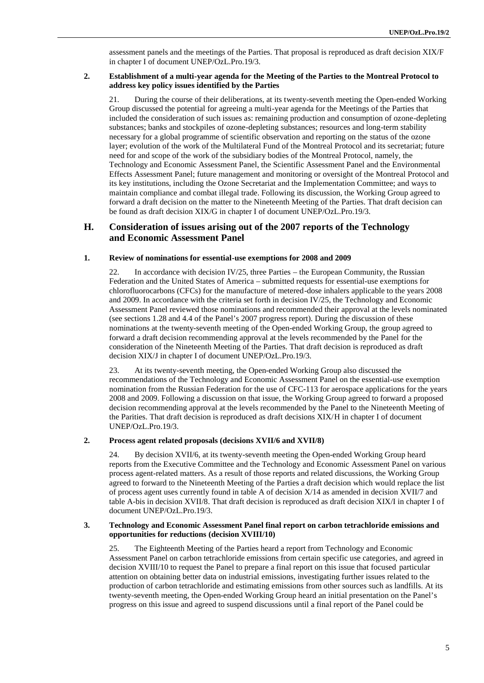assessment panels and the meetings of the Parties. That proposal is reproduced as draft decision XIX/F in chapter I of document UNEP/OzL.Pro.19/3.

#### **2. Establishment of a multi-year agenda for the Meeting of the Parties to the Montreal Protocol to address key policy issues identified by the Parties**

21. During the course of their deliberations, at its twenty-seventh meeting the Open-ended Working Group discussed the potential for agreeing a multi-year agenda for the Meetings of the Parties that included the consideration of such issues as: remaining production and consumption of ozone-depleting substances; banks and stockpiles of ozone-depleting substances; resources and long-term stability necessary for a global programme of scientific observation and reporting on the status of the ozone layer; evolution of the work of the Multilateral Fund of the Montreal Protocol and its secretariat; future need for and scope of the work of the subsidiary bodies of the Montreal Protocol, namely, the Technology and Economic Assessment Panel, the Scientific Assessment Panel and the Environmental Effects Assessment Panel; future management and monitoring or oversight of the Montreal Protocol and its key institutions, including the Ozone Secretariat and the Implementation Committee; and ways to maintain compliance and combat illegal trade. Following its discussion, the Working Group agreed to forward a draft decision on the matter to the Nineteenth Meeting of the Parties. That draft decision can be found as draft decision XIX/G in chapter I of document UNEP/OzL.Pro.19/3.

### **H. Consideration of issues arising out of the 2007 reports of the Technology and Economic Assessment Panel**

#### **1. Review of nominations for essential-use exemptions for 2008 and 2009**

22. In accordance with decision IV/25, three Parties – the European Community, the Russian Federation and the United States of America – submitted requests for essential-use exemptions for chlorofluorocarbons (CFCs) for the manufacture of metered-dose inhalers applicable to the years 2008 and 2009. In accordance with the criteria set forth in decision IV/25, the Technology and Economic Assessment Panel reviewed those nominations and recommended their approval at the levels nominated (see sections 1.28 and 4.4 of the Panel's 2007 progress report). During the discussion of these nominations at the twenty-seventh meeting of the Open-ended Working Group, the group agreed to forward a draft decision recommending approval at the levels recommended by the Panel for the consideration of the Nineteenth Meeting of the Parties. That draft decision is reproduced as draft decision XIX/J in chapter I of document UNEP/OzL.Pro.19/3.

23. At its twenty-seventh meeting, the Open-ended Working Group also discussed the recommendations of the Technology and Economic Assessment Panel on the essential-use exemption nomination from the Russian Federation for the use of CFC-113 for aerospace applications for the years 2008 and 2009. Following a discussion on that issue, the Working Group agreed to forward a proposed decision recommending approval at the levels recommended by the Panel to the Nineteenth Meeting of the Parities. That draft decision is reproduced as draft decisions XIX/H in chapter I of document UNEP/OzL.Pro.19/3.

#### **2. Process agent related proposals (decisions XVII/6 and XVII/8)**

24. By decision XVII/6, at its twenty-seventh meeting the Open-ended Working Group heard reports from the Executive Committee and the Technology and Economic Assessment Panel on various process agent-related matters. As a result of those reports and related discussions, the Working Group agreed to forward to the Nineteenth Meeting of the Parties a draft decision which would replace the list of process agent uses currently found in table A of decision X/14 as amended in decision XVII/7 and table A-bis in decision XVII/8. That draft decision is reproduced as draft decision XIX/I in chapter I of document UNEP/OzL.Pro.19/3.

#### **3. Technology and Economic Assessment Panel final report on carbon tetrachloride emissions and opportunities for reductions (decision XVIII/10)**

25. The Eighteenth Meeting of the Parties heard a report from Technology and Economic Assessment Panel on carbon tetrachloride emissions from certain specific use categories, and agreed in decision XVIII/10 to request the Panel to prepare a final report on this issue that focused particular attention on obtaining better data on industrial emissions, investigating further issues related to the production of carbon tetrachloride and estimating emissions from other sources such as landfills. At its twenty-seventh meeting, the Open-ended Working Group heard an initial presentation on the Panel's progress on this issue and agreed to suspend discussions until a final report of the Panel could be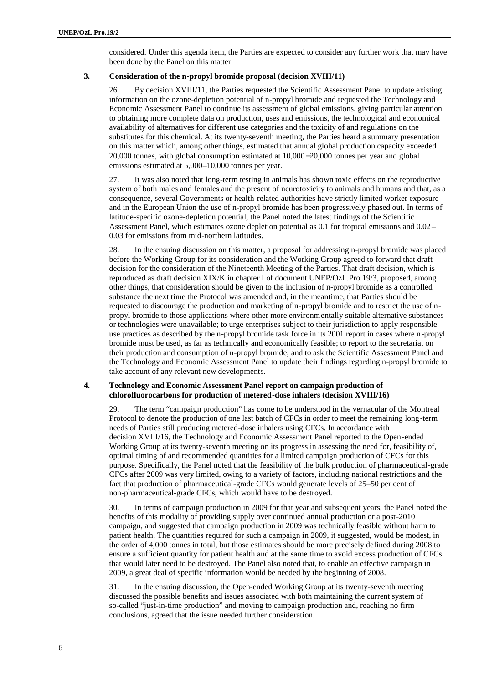considered. Under this agenda item, the Parties are expected to consider any further work that may have been done by the Panel on this matter

#### **3. Consideration of the n-propyl bromide proposal (decision XVIII/11)**

26. By decision XVIII/11, the Parties requested the Scientific Assessment Panel to update existing information on the ozone-depletion potential of n-propyl bromide and requested the Technology and Economic Assessment Panel to continue its assessment of global emissions, giving particular attention to obtaining more complete data on production, uses and emissions, the technological and economical availability of alternatives for different use categories and the toxicity of and regulations on the substitutes for this chemical. At its twenty-seventh meeting, the Parties heard a summary presentation on this matter which, among other things, estimated that annual global production capacity exceeded 20,000 tonnes, with global consumption estimated at 10,000−20,000 tonnes per year and global emissions estimated at 5,000–10,000 tonnes per year.

27. It was also noted that long-term testing in animals has shown toxic effects on the reproductive system of both males and females and the present of neurotoxicity to animals and humans and that, as a consequence, several Governments or health-related authorities have strictly limited worker exposure and in the European Union the use of n-propyl bromide has been progressively phased out. In terms of latitude-specific ozone-depletion potential, the Panel noted the latest findings of the Scientific Assessment Panel, which estimates ozone depletion potential as 0.1 for tropical emissions and 0.02– 0.03 for emissions from mid-northern latitudes.

28. In the ensuing discussion on this matter, a proposal for addressing n-propyl bromide was placed before the Working Group for its consideration and the Working Group agreed to forward that draft decision for the consideration of the Nineteenth Meeting of the Parties. That draft decision, which is reproduced as draft decision XIX/K in chapter I of document UNEP/OzL.Pro.19/3, proposed, among other things, that consideration should be given to the inclusion of n-propyl bromide as a controlled substance the next time the Protocol was amended and, in the meantime, that Parties should be requested to discourage the production and marketing of n-propyl bromide and to restrict the use of npropyl bromide to those applications where other more environmentally suitable alternative substances or technologies were unavailable; to urge enterprises subject to their jurisdiction to apply responsible use practices as described by the n-propyl bromide task force in its 2001 report in cases where n-propyl bromide must be used, as far as technically and economically feasible; to report to the secretariat on their production and consumption of n-propyl bromide; and to ask the Scientific Assessment Panel and the Technology and Economic Assessment Panel to update their findings regarding n-propyl bromide to take account of any relevant new developments.

#### **4. Technology and Economic Assessment Panel report on campaign production of chlorofluorocarbons for production of metered-dose inhalers (decision XVIII/16)**

29. The term "campaign production" has come to be understood in the vernacular of the Montreal Protocol to denote the production of one last batch of CFCs in order to meet the remaining long-term needs of Parties still producing metered-dose inhalers using CFCs. In accordance with decision XVIII/16, the Technology and Economic Assessment Panel reported to the Open-ended Working Group at its twenty-seventh meeting on its progress in assessing the need for, feasibility of, optimal timing of and recommended quantities for a limited campaign production of CFCs for this purpose. Specifically, the Panel noted that the feasibility of the bulk production of pharmaceutical-grade CFCs after 2009 was very limited, owing to a variety of factors, including national restrictions and the fact that production of pharmaceutical-grade CFCs would generate levels of 25–50 per cent of non-pharmaceutical-grade CFCs, which would have to be destroyed.

30. In terms of campaign production in 2009 for that year and subsequent years, the Panel noted the benefits of this modality of providing supply over continued annual production or a post-2010 campaign, and suggested that campaign production in 2009 was technically feasible without harm to patient health. The quantities required for such a campaign in 2009, it suggested, would be modest, in the order of 4,000 tonnes in total, but those estimates should be more precisely defined during 2008 to ensure a sufficient quantity for patient health and at the same time to avoid excess production of CFCs that would later need to be destroyed. The Panel also noted that, to enable an effective campaign in 2009, a great deal of specific information would be needed by the beginning of 2008.

31. In the ensuing discussion, the Open-ended Working Group at its twenty-seventh meeting discussed the possible benefits and issues associated with both maintaining the current system of so-called "just-in-time production" and moving to campaign production and, reaching no firm conclusions, agreed that the issue needed further consideration.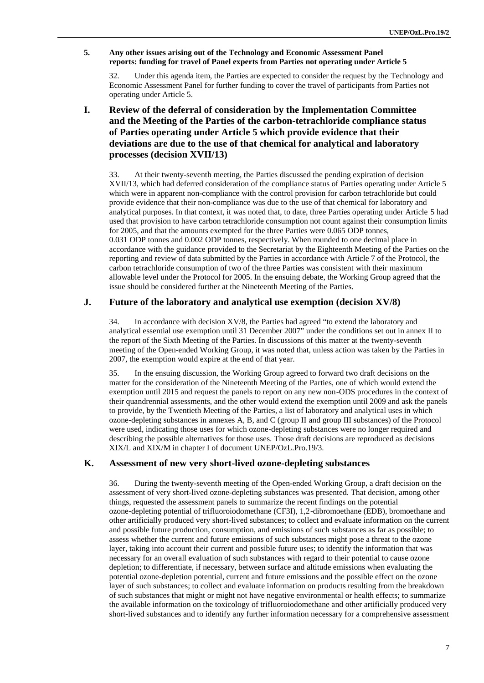#### **5. Any other issues arising out of the Technology and Economic Assessment Panel reports: funding for travel of Panel experts from Parties not operating under Article 5**

32. Under this agenda item, the Parties are expected to consider the request by the Technology and Economic Assessment Panel for further funding to cover the travel of participants from Parties not operating under Article 5.

# **I. Review of the deferral of consideration by the Implementation Committee and the Meeting of the Parties of the carbon-tetrachloride compliance status of Parties operating under Article 5 which provide evidence that their deviations are due to the use of that chemical for analytical and laboratory processes (decision XVII/13)**

33. At their twenty-seventh meeting, the Parties discussed the pending expiration of decision XVII/13, which had deferred consideration of the compliance status of Parties operating under Article 5 which were in apparent non-compliance with the control provision for carbon tetrachloride but could provide evidence that their non-compliance was due to the use of that chemical for laboratory and analytical purposes. In that context, it was noted that, to date, three Parties operating under Article 5 had used that provision to have carbon tetrachloride consumption not count against their consumption limits for 2005, and that the amounts exempted for the three Parties were 0.065 ODP tonnes, 0.031 ODP tonnes and 0.002 ODP tonnes, respectively. When rounded to one decimal place in accordance with the guidance provided to the Secretariat by the Eighteenth Meeting of the Parties on the reporting and review of data submitted by the Parties in accordance with Article 7 of the Protocol, the carbon tetrachloride consumption of two of the three Parties was consistent with their maximum allowable level under the Protocol for 2005. In the ensuing debate, the Working Group agreed that the issue should be considered further at the Nineteenth Meeting of the Parties.

# **J. Future of the laboratory and analytical use exemption (decision XV/8)**

34. In accordance with decision XV/8, the Parties had agreed "to extend the laboratory and analytical essential use exemption until 31 December 2007" under the conditions set out in annex II to the report of the Sixth Meeting of the Parties. In discussions of this matter at the twenty-seventh meeting of the Open-ended Working Group, it was noted that, unless action was taken by the Parties in 2007, the exemption would expire at the end of that year.

35. In the ensuing discussion, the Working Group agreed to forward two draft decisions on the matter for the consideration of the Nineteenth Meeting of the Parties, one of which would extend the exemption until 2015 and request the panels to report on any new non-ODS procedures in the context of their quandrennial assessments, and the other would extend the exemption until 2009 and ask the panels to provide, by the Twentieth Meeting of the Parties, a list of laboratory and analytical uses in which ozone-depleting substances in annexes A, B, and C (group II and group III substances) of the Protocol were used, indicating those uses for which ozone-depleting substances were no longer required and describing the possible alternatives for those uses. Those draft decisions are reproduced as decisions XIX/L and XIX/M in chapter I of document UNEP/OzL.Pro.19/3.

## **K. Assessment of new very short-lived ozone-depleting substances**

36. During the twenty-seventh meeting of the Open-ended Working Group, a draft decision on the assessment of very short-lived ozone-depleting substances was presented. That decision, among other things, requested the assessment panels to summarize the recent findings on the potential ozone-depleting potential of trifluoroiodomethane (CF3I), 1,2-dibromoethane (EDB), bromoethane and other artificially produced very short-lived substances; to collect and evaluate information on the current and possible future production, consumption, and emissions of such substances as far as possible; to assess whether the current and future emissions of such substances might pose a threat to the ozone layer, taking into account their current and possible future uses; to identify the information that was necessary for an overall evaluation of such substances with regard to their potential to cause ozone depletion; to differentiate, if necessary, between surface and altitude emissions when evaluating the potential ozone-depletion potential, current and future emissions and the possible effect on the ozone layer of such substances; to collect and evaluate information on products resulting from the breakdown of such substances that might or might not have negative environmental or health effects; to summarize the available information on the toxicology of trifluoroiodomethane and other artificially produced very short-lived substances and to identify any further information necessary for a comprehensive assessment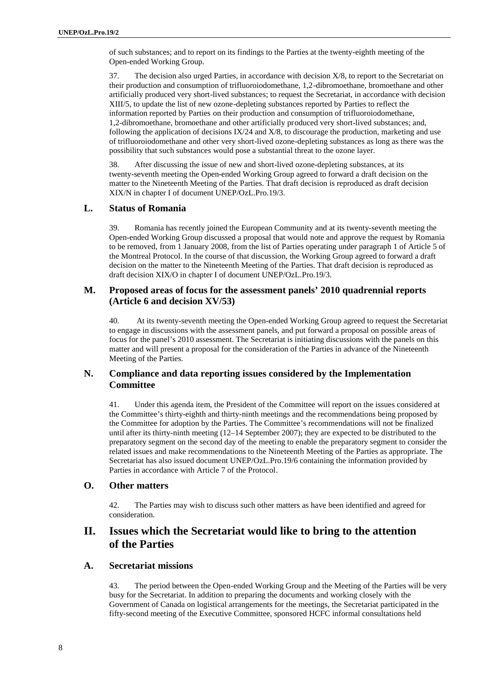of such substances; and to report on its findings to the Parties at the twenty-eighth meeting of the Open-ended Working Group.

37. The decision also urged Parties, in accordance with decision X/8, to report to the Secretariat on their production and consumption of trifluoroiodomethane, 1,2-dibromoethane, bromoethane and other artificially produced very short-lived substances; to request the Secretariat, in accordance with decision XIII/5, to update the list of new ozone-depleting substances reported by Parties to reflect the information reported by Parties on their production and consumption of trifluoroiodomethane, 1,2-dibromoethane, bromoethane and other artificially produced very short-lived substances; and, following the application of decisions  $IX/24$  and  $X/8$ , to discourage the production, marketing and use of trifluoroiodomethane and other very short-lived ozone-depleting substances as long as there was the possibility that such substances would pose a substantial threat to the ozone layer.

38. After discussing the issue of new and short-lived ozone-depleting substances, at its twenty-seventh meeting the Open-ended Working Group agreed to forward a draft decision on the matter to the Nineteenth Meeting of the Parties. That draft decision is reproduced as draft decision XIX/N in chapter I of document UNEP/OzL.Pro.19/3.

### **L. Status of Romania**

39. Romania has recently joined the European Community and at its twenty-seventh meeting the Open-ended Working Group discussed a proposal that would note and approve the request by Romania to be removed, from 1 January 2008, from the list of Parties operating under paragraph 1 of Article 5 of the Montreal Protocol. In the course of that discussion, the Working Group agreed to forward a draft decision on the matter to the Nineteenth Meeting of the Parties. That draft decision is reproduced as draft decision XIX/O in chapter I of document UNEP/OzL.Pro.19/3.

### **M. Proposed areas of focus for the assessment panels' 2010 quadrennial reports (Article 6 and decision XV/53)**

40. At its twenty-seventh meeting the Open-ended Working Group agreed to request the Secretariat to engage in discussions with the assessment panels, and put forward a proposal on possible areas of focus for the panel's 2010 assessment. The Secretariat is initiating discussions with the panels on this matter and will present a proposal for the consideration of the Parties in advance of the Nineteenth Meeting of the Parties.

# **N. Compliance and data reporting issues considered by the Implementation Committee**

41. Under this agenda item, the President of the Committee will report on the issues considered at the Committee's thirty-eighth and thirty-ninth meetings and the recommendations being proposed by the Committee for adoption by the Parties. The Committee's recommendations will not be finalized until after its thirty-ninth meeting (12–14 September 2007); they are expected to be distributed to the preparatory segment on the second day of the meeting to enable the preparatory segment to consider the related issues and make recommendations to the Nineteenth Meeting of the Parties as appropriate. The Secretariat has also issued document UNEP/OzL.Pro.19/6 containing the information provided by Parties in accordance with Article 7 of the Protocol.

#### **O. Other matters**

42. The Parties may wish to discuss such other matters as have been identified and agreed for consideration.

# **II. Issues which the Secretariat would like to bring to the attention of the Parties**

#### **A. Secretariat missions**

43. The period between the Open-ended Working Group and the Meeting of the Parties will be very busy for the Secretariat. In addition to preparing the documents and working closely with the Government of Canada on logistical arrangements for the meetings, the Secretariat participated in the fifty-second meeting of the Executive Committee, sponsored HCFC informal consultations held